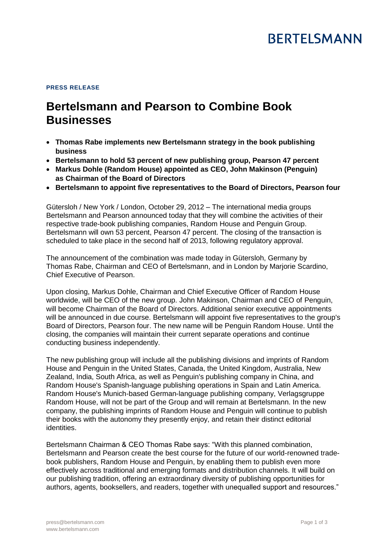## **BERTELSMANN**

**PRESS RELEASE**

## **Bertelsmann and Pearson to Combine Book Businesses**

- **Thomas Rabe implements new Bertelsmann strategy in the book publishing business**
- **Bertelsmann to hold 53 percent of new publishing group, Pearson 47 percent**
- **Markus Dohle (Random House) appointed as CEO, John Makinson (Penguin) as Chairman of the Board of Directors**
- **Bertelsmann to appoint five representatives to the Board of Directors, Pearson four**

Gütersloh / New York / London, October 29, 2012 – The international media groups Bertelsmann and Pearson announced today that they will combine the activities of their respective trade-book publishing companies, Random House and Penguin Group. Bertelsmann will own 53 percent, Pearson 47 percent. The closing of the transaction is scheduled to take place in the second half of 2013, following regulatory approval.

The announcement of the combination was made today in Gütersloh, Germany by Thomas Rabe, Chairman and CEO of Bertelsmann, and in London by Marjorie Scardino, Chief Executive of Pearson.

Upon closing, Markus Dohle, Chairman and Chief Executive Officer of Random House worldwide, will be CEO of the new group. John Makinson, Chairman and CEO of Penguin, will become Chairman of the Board of Directors. Additional senior executive appointments will be announced in due course. Bertelsmann will appoint five representatives to the group's Board of Directors, Pearson four. The new name will be Penguin Random House. Until the closing, the companies will maintain their current separate operations and continue conducting business independently.

The new publishing group will include all the publishing divisions and imprints of Random House and Penguin in the United States, Canada, the United Kingdom, Australia, New Zealand, India, South Africa, as well as Penguin's publishing company in China, and Random House's Spanish-language publishing operations in Spain and Latin America. Random House's Munich-based German-language publishing company, Verlagsgruppe Random House, will not be part of the Group and will remain at Bertelsmann. In the new company, the publishing imprints of Random House and Penguin will continue to publish their books with the autonomy they presently enjoy, and retain their distinct editorial identities.

Bertelsmann Chairman & CEO Thomas Rabe says: "With this planned combination, Bertelsmann and Pearson create the best course for the future of our world-renowned tradebook publishers, Random House and Penguin, by enabling them to publish even more effectively across traditional and emerging formats and distribution channels. It will build on our publishing tradition, offering an extraordinary diversity of publishing opportunities for authors, agents, booksellers, and readers, together with unequalled support and resources."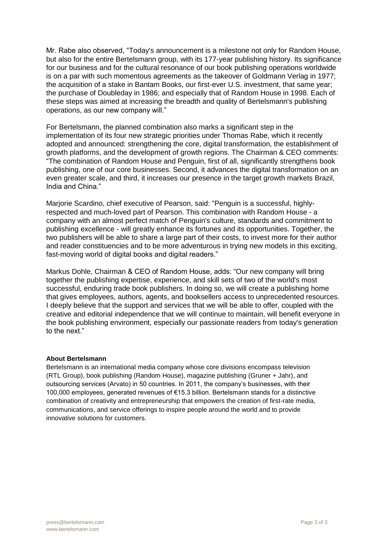Mr. Rabe also observed, "Today's announcement is a milestone not only for Random House, but also for the entire Bertelsmann group, with its 177-year publishing history. Its significance for our business and for the cultural resonance of our book publishing operations worldwide is on a par with such momentous agreements as the takeover of Goldmann Verlag in 1977; the acquisition of a stake in Bantam Books, our first-ever U.S. investment, that same year; the purchase of Doubleday in 1986; and especially that of Random House in 1998. Each of these steps was aimed at increasing the breadth and quality of Bertelsmann's publishing operations, as our new company will."

For Bertelsmann, the planned combination also marks a significant step in the implementation of its four new strategic priorities under Thomas Rabe, which it recently adopted and announced: strengthening the core, digital transformation, the establishment of growth platforms, and the development of growth regions. The Chairman & CEO comments: "The combination of Random House and Penguin, first of all, significantly strengthens book publishing, one of our core businesses. Second, it advances the digital transformation on an even greater scale, and third, it increases our presence in the target growth markets Brazil, India and China."

Marjorie Scardino, chief executive of Pearson, said: "Penguin is a successful, highlyrespected and much-loved part of Pearson. This combination with Random House - a company with an almost perfect match of Penguin's culture, standards and commitment to publishing excellence - will greatly enhance its fortunes and its opportunities. Together, the two publishers will be able to share a large part of their costs, to invest more for their author and reader constituencies and to be more adventurous in trying new models in this exciting, fast-moving world of digital books and digital readers."

Markus Dohle, Chairman & CEO of Random House, adds: "Our new company will bring together the publishing expertise, experience, and skill sets of two of the world's most successful, enduring trade book publishers. In doing so, we will create a publishing home that gives employees, authors, agents, and booksellers access to unprecedented resources. I deeply believe that the support and services that we will be able to offer, coupled with the creative and editorial independence that we will continue to maintain, will benefit everyone in the book publishing environment, especially our passionate readers from today's generation to the next."

## **About Bertelsmann**

Bertelsmann is an international media company whose core divisions encompass television (RTL Group), book publishing (Random House), magazine publishing (Gruner + Jahr), and outsourcing services (Arvato) in 50 countries. In 2011, the company's businesses, with their 100,000 employees, generated revenues of €15.3 billion. Bertelsmann stands for a distinctive combination of creativity and entrepreneurship that empowers the creation of first-rate media, communications, and service offerings to inspire people around the world and to provide innovative solutions for customers.